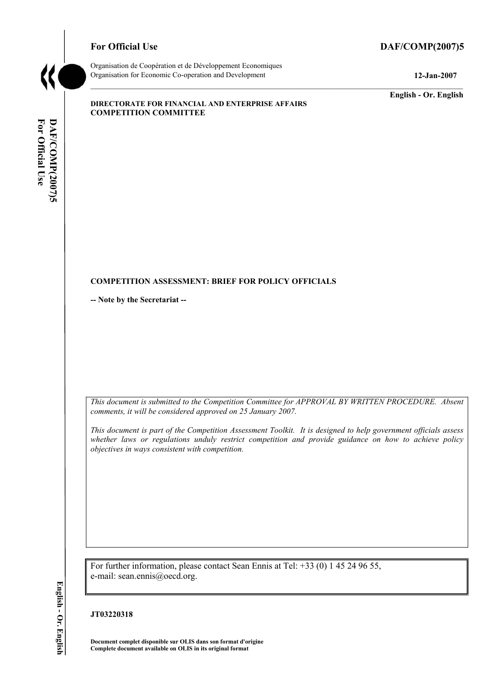### For Official Use DAF/COMP(2007)5



Organisation de CoopÈration et de DÈveloppement Economiques Organisation for Economic Co-operation and Development **12-Jan-2007** 

**English - Or. English** 

### **DIRECTORATE FOR FINANCIAL AND ENTERPRISE AFFAIRS COMPETITION COMMITTEE**

# For Official Use DAF/COMP(2007)5 **For Official Use DAF/COMP(2007)5 English - Or. English**

### **COMPETITION ASSESSMENT: BRIEF FOR POLICY OFFICIALS**

**-- Note by the Secretariat --** 

*This document is submitted to the Competition Committee for APPROVAL BY WRITTEN PROCEDURE. Absent comments, it will be considered approved on 25 January 2007.* 

*This document is part of the Competition Assessment Toolkit. It is designed to help government officials assess whether laws or regulations unduly restrict competition and provide guidance on how to achieve policy objectives in ways consistent with competition.* 

For further information, please contact Sean Ennis at Tel: +33 (0) 1 45 24 96 55, e-mail: sean.ennis@oecd.org.

## English - Or. English

## **JT03220318**

**Document complet disponible sur OLIS dans son format d'origine Complete document available on OLIS in its original format**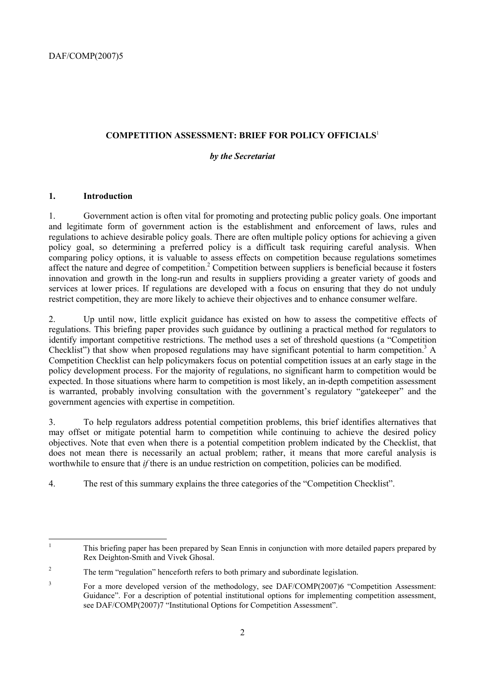### **COMPETITION ASSESSMENT: BRIEF FOR POLICY OFFICIALS**<sup>1</sup>

### *by the Secretariat*

### **1. Introduction**

1. Government action is often vital for promoting and protecting public policy goals. One important and legitimate form of government action is the establishment and enforcement of laws, rules and regulations to achieve desirable policy goals. There are often multiple policy options for achieving a given policy goal, so determining a preferred policy is a difficult task requiring careful analysis. When comparing policy options, it is valuable to assess effects on competition because regulations sometimes affect the nature and degree of competition.<sup>2</sup> Competition between suppliers is beneficial because it fosters innovation and growth in the long-run and results in suppliers providing a greater variety of goods and services at lower prices. If regulations are developed with a focus on ensuring that they do not unduly restrict competition, they are more likely to achieve their objectives and to enhance consumer welfare.

2. Up until now, little explicit guidance has existed on how to assess the competitive effects of regulations. This briefing paper provides such guidance by outlining a practical method for regulators to identify important competitive restrictions. The method uses a set of threshold questions (a "Competition" Checklist") that show when proposed regulations may have significant potential to harm competition.<sup>3</sup> A Competition Checklist can help policymakers focus on potential competition issues at an early stage in the policy development process. For the majority of regulations, no significant harm to competition would be expected. In those situations where harm to competition is most likely, an in-depth competition assessment is warranted, probably involving consultation with the government's regulatory "gatekeeper" and the government agencies with expertise in competition.

3. To help regulators address potential competition problems, this brief identifies alternatives that may offset or mitigate potential harm to competition while continuing to achieve the desired policy objectives. Note that even when there is a potential competition problem indicated by the Checklist, that does not mean there is necessarily an actual problem; rather, it means that more careful analysis is worthwhile to ensure that *if* there is an undue restriction on competition, policies can be modified.

4. The rest of this summary explains the three categories of the "Competition Checklist".

 $\frac{1}{1}$  This briefing paper has been prepared by Sean Ennis in conjunction with more detailed papers prepared by Rex Deighton-Smith and Vivek Ghosal.

<sup>2</sup> The term "regulation" henceforth refers to both primary and subordinate legislation.

<sup>3</sup> For a more developed version of the methodology, see DAF/COMP(2007)6 "Competition Assessment: Guidance". For a description of potential institutional options for implementing competition assessment, see DAF/COMP(2007)7 "Institutional Options for Competition Assessment".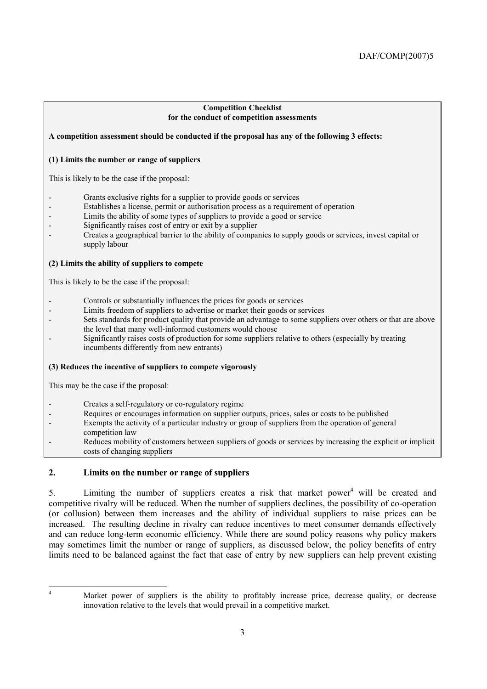### **Competition Checklist for the conduct of competition assessments**

### **A competition assessment should be conducted if the proposal has any of the following 3 effects:**

### **(1) Limits the number or range of suppliers**

This is likely to be the case if the proposal:

- Grants exclusive rights for a supplier to provide goods or services
- Establishes a license, permit or authorisation process as a requirement of operation
- Limits the ability of some types of suppliers to provide a good or service
- Significantly raises cost of entry or exit by a supplier
- Creates a geographical barrier to the ability of companies to supply goods or services, invest capital or supply labour

### **(2) Limits the ability of suppliers to compete**

This is likely to be the case if the proposal:

- Controls or substantially influences the prices for goods or services
	- Limits freedom of suppliers to advertise or market their goods or services
- Sets standards for product quality that provide an advantage to some suppliers over others or that are above the level that many well-informed customers would choose
- Significantly raises costs of production for some suppliers relative to others (especially by treating incumbents differently from new entrants)

### **(3) Reduces the incentive of suppliers to compete vigorously**

This may be the case if the proposal:

- Creates a self-regulatory or co-regulatory regime
- Requires or encourages information on supplier outputs, prices, sales or costs to be published
- Exempts the activity of a particular industry or group of suppliers from the operation of general
- competition law
- Reduces mobility of customers between suppliers of goods or services by increasing the explicit or implicit costs of changing suppliers

### **2. Limits on the number or range of suppliers**

5. Limiting the number of suppliers creates a risk that market power<sup>4</sup> will be created and competitive rivalry will be reduced. When the number of suppliers declines, the possibility of co-operation (or collusion) between them increases and the ability of individual suppliers to raise prices can be increased. The resulting decline in rivalry can reduce incentives to meet consumer demands effectively and can reduce long-term economic efficiency. While there are sound policy reasons why policy makers may sometimes limit the number or range of suppliers, as discussed below, the policy benefits of entry limits need to be balanced against the fact that ease of entry by new suppliers can help prevent existing

 $\frac{1}{4}$ 

Market power of suppliers is the ability to profitably increase price, decrease quality, or decrease innovation relative to the levels that would prevail in a competitive market.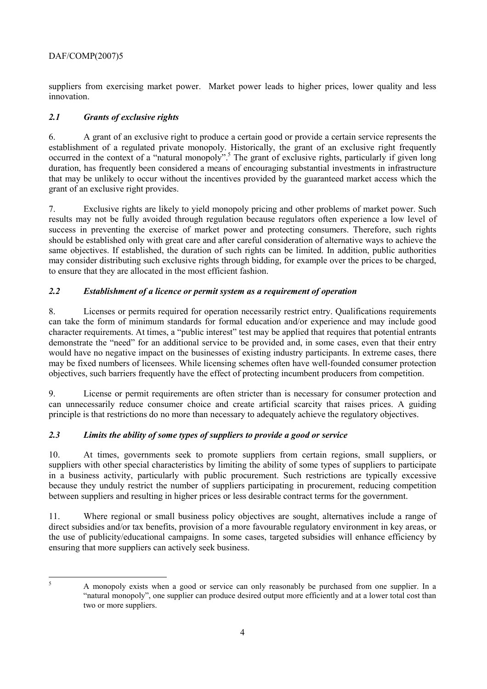### DAF/COMP(2007)5

suppliers from exercising market power. Market power leads to higher prices, lower quality and less innovation.

### *2.1 Grants of exclusive rights*

6. A grant of an exclusive right to produce a certain good or provide a certain service represents the establishment of a regulated private monopoly. Historically, the grant of an exclusive right frequently occurred in the context of a "natural monopoly".<sup>5</sup> The grant of exclusive rights, particularly if given long duration, has frequently been considered a means of encouraging substantial investments in infrastructure that may be unlikely to occur without the incentives provided by the guaranteed market access which the grant of an exclusive right provides.

7. Exclusive rights are likely to yield monopoly pricing and other problems of market power. Such results may not be fully avoided through regulation because regulators often experience a low level of success in preventing the exercise of market power and protecting consumers. Therefore, such rights should be established only with great care and after careful consideration of alternative ways to achieve the same objectives. If established, the duration of such rights can be limited. In addition, public authorities may consider distributing such exclusive rights through bidding, for example over the prices to be charged, to ensure that they are allocated in the most efficient fashion.

### *2.2 Establishment of a licence or permit system as a requirement of operation*

8. Licenses or permits required for operation necessarily restrict entry. Qualifications requirements can take the form of minimum standards for formal education and/or experience and may include good character requirements. At times, a "public interest" test may be applied that requires that potential entrants demonstrate the "need" for an additional service to be provided and, in some cases, even that their entry would have no negative impact on the businesses of existing industry participants. In extreme cases, there may be fixed numbers of licensees. While licensing schemes often have well-founded consumer protection objectives, such barriers frequently have the effect of protecting incumbent producers from competition.

9. License or permit requirements are often stricter than is necessary for consumer protection and can unnecessarily reduce consumer choice and create artificial scarcity that raises prices. A guiding principle is that restrictions do no more than necessary to adequately achieve the regulatory objectives.

### *2.3 Limits the ability of some types of suppliers to provide a good or service*

10. At times, governments seek to promote suppliers from certain regions, small suppliers, or suppliers with other special characteristics by limiting the ability of some types of suppliers to participate in a business activity, particularly with public procurement. Such restrictions are typically excessive because they unduly restrict the number of suppliers participating in procurement, reducing competition between suppliers and resulting in higher prices or less desirable contract terms for the government.

11. Where regional or small business policy objectives are sought, alternatives include a range of direct subsidies and/or tax benefits, provision of a more favourable regulatory environment in key areas, or the use of publicity/educational campaigns. In some cases, targeted subsidies will enhance efficiency by ensuring that more suppliers can actively seek business.

 $\frac{1}{5}$ 

A monopoly exists when a good or service can only reasonably be purchased from one supplier. In a ìnatural monopolyî, one supplier can produce desired output more efficiently and at a lower total cost than two or more suppliers.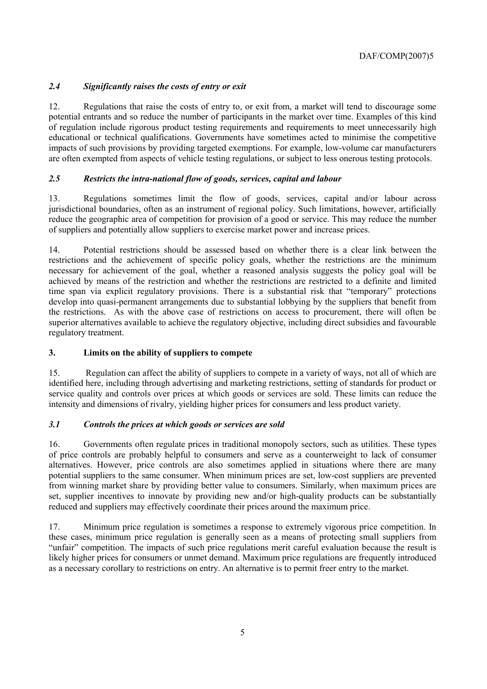### *2.4 Significantly raises the costs of entry or exit*

12. Regulations that raise the costs of entry to, or exit from, a market will tend to discourage some potential entrants and so reduce the number of participants in the market over time. Examples of this kind of regulation include rigorous product testing requirements and requirements to meet unnecessarily high educational or technical qualifications. Governments have sometimes acted to minimise the competitive impacts of such provisions by providing targeted exemptions. For example, low-volume car manufacturers are often exempted from aspects of vehicle testing regulations, or subject to less onerous testing protocols.

### *2.5 Restricts the intra-national flow of goods, services, capital and labour*

13. Regulations sometimes limit the flow of goods, services, capital and/or labour across jurisdictional boundaries, often as an instrument of regional policy. Such limitations, however, artificially reduce the geographic area of competition for provision of a good or service. This may reduce the number of suppliers and potentially allow suppliers to exercise market power and increase prices.

14. Potential restrictions should be assessed based on whether there is a clear link between the restrictions and the achievement of specific policy goals, whether the restrictions are the minimum necessary for achievement of the goal, whether a reasoned analysis suggests the policy goal will be achieved by means of the restriction and whether the restrictions are restricted to a definite and limited time span via explicit regulatory provisions. There is a substantial risk that "temporary" protections develop into quasi-permanent arrangements due to substantial lobbying by the suppliers that benefit from the restrictions. As with the above case of restrictions on access to procurement, there will often be superior alternatives available to achieve the regulatory objective, including direct subsidies and favourable regulatory treatment.

### **3. Limits on the ability of suppliers to compete**

15. Regulation can affect the ability of suppliers to compete in a variety of ways, not all of which are identified here, including through advertising and marketing restrictions, setting of standards for product or service quality and controls over prices at which goods or services are sold. These limits can reduce the intensity and dimensions of rivalry, yielding higher prices for consumers and less product variety.

### *3.1 Controls the prices at which goods or services are sold*

16. Governments often regulate prices in traditional monopoly sectors, such as utilities. These types of price controls are probably helpful to consumers and serve as a counterweight to lack of consumer alternatives. However, price controls are also sometimes applied in situations where there are many potential suppliers to the same consumer. When minimum prices are set, low-cost suppliers are prevented from winning market share by providing better value to consumers. Similarly, when maximum prices are set, supplier incentives to innovate by providing new and/or high-quality products can be substantially reduced and suppliers may effectively coordinate their prices around the maximum price.

17. Minimum price regulation is sometimes a response to extremely vigorous price competition. In these cases, minimum price regulation is generally seen as a means of protecting small suppliers from "unfair" competition. The impacts of such price regulations merit careful evaluation because the result is likely higher prices for consumers or unmet demand. Maximum price regulations are frequently introduced as a necessary corollary to restrictions on entry. An alternative is to permit freer entry to the market.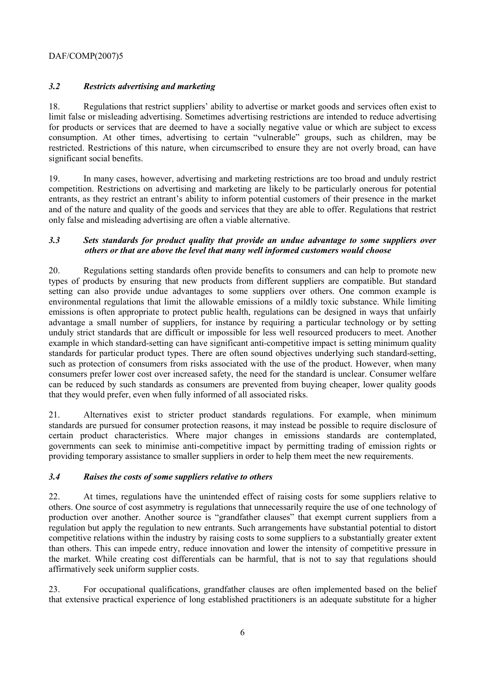### DAF/COMP(2007)5

### *3.2 Restricts advertising and marketing*

18. Regulations that restrict suppliersí ability to advertise or market goods and services often exist to limit false or misleading advertising. Sometimes advertising restrictions are intended to reduce advertising for products or services that are deemed to have a socially negative value or which are subject to excess consumption. At other times, advertising to certain "vulnerable" groups, such as children, may be restricted. Restrictions of this nature, when circumscribed to ensure they are not overly broad, can have significant social benefits.

19. In many cases, however, advertising and marketing restrictions are too broad and unduly restrict competition. Restrictions on advertising and marketing are likely to be particularly onerous for potential entrants, as they restrict an entrant's ability to inform potential customers of their presence in the market and of the nature and quality of the goods and services that they are able to offer. Regulations that restrict only false and misleading advertising are often a viable alternative.

### *3.3 Sets standards for product quality that provide an undue advantage to some suppliers over others or that are above the level that many well informed customers would choose*

20. Regulations setting standards often provide benefits to consumers and can help to promote new types of products by ensuring that new products from different suppliers are compatible. But standard setting can also provide undue advantages to some suppliers over others. One common example is environmental regulations that limit the allowable emissions of a mildly toxic substance. While limiting emissions is often appropriate to protect public health, regulations can be designed in ways that unfairly advantage a small number of suppliers, for instance by requiring a particular technology or by setting unduly strict standards that are difficult or impossible for less well resourced producers to meet. Another example in which standard-setting can have significant anti-competitive impact is setting minimum quality standards for particular product types. There are often sound objectives underlying such standard-setting, such as protection of consumers from risks associated with the use of the product. However, when many consumers prefer lower cost over increased safety, the need for the standard is unclear. Consumer welfare can be reduced by such standards as consumers are prevented from buying cheaper, lower quality goods that they would prefer, even when fully informed of all associated risks.

21. Alternatives exist to stricter product standards regulations. For example, when minimum standards are pursued for consumer protection reasons, it may instead be possible to require disclosure of certain product characteristics. Where major changes in emissions standards are contemplated, governments can seek to minimise anti-competitive impact by permitting trading of emission rights or providing temporary assistance to smaller suppliers in order to help them meet the new requirements.

### *3.4 Raises the costs of some suppliers relative to others*

22. At times, regulations have the unintended effect of raising costs for some suppliers relative to others. One source of cost asymmetry is regulations that unnecessarily require the use of one technology of production over another. Another source is "grandfather clauses" that exempt current suppliers from a regulation but apply the regulation to new entrants. Such arrangements have substantial potential to distort competitive relations within the industry by raising costs to some suppliers to a substantially greater extent than others. This can impede entry, reduce innovation and lower the intensity of competitive pressure in the market. While creating cost differentials can be harmful, that is not to say that regulations should affirmatively seek uniform supplier costs.

23. For occupational qualifications, grandfather clauses are often implemented based on the belief that extensive practical experience of long established practitioners is an adequate substitute for a higher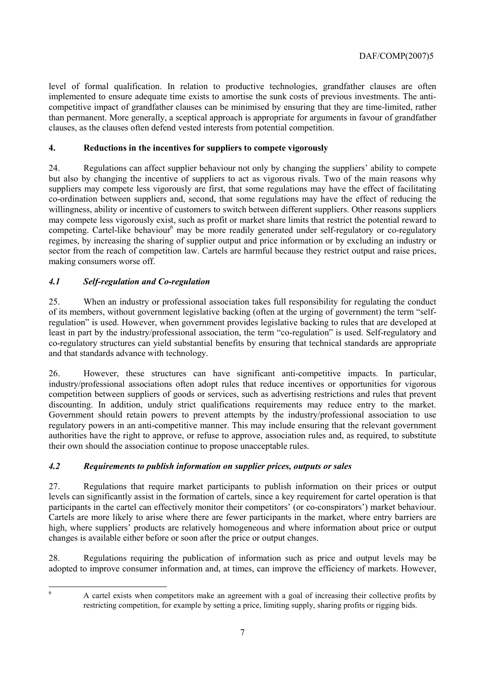level of formal qualification. In relation to productive technologies, grandfather clauses are often implemented to ensure adequate time exists to amortise the sunk costs of previous investments. The anticompetitive impact of grandfather clauses can be minimised by ensuring that they are time-limited, rather than permanent. More generally, a sceptical approach is appropriate for arguments in favour of grandfather clauses, as the clauses often defend vested interests from potential competition.

### **4. Reductions in the incentives for suppliers to compete vigorously**

24. Regulations can affect supplier behaviour not only by changing the suppliers' ability to compete but also by changing the incentive of suppliers to act as vigorous rivals. Two of the main reasons why suppliers may compete less vigorously are first, that some regulations may have the effect of facilitating co-ordination between suppliers and, second, that some regulations may have the effect of reducing the willingness, ability or incentive of customers to switch between different suppliers. Other reasons suppliers may compete less vigorously exist, such as profit or market share limits that restrict the potential reward to competing. Cartel-like behaviour<sup>6</sup> may be more readily generated under self-regulatory or co-regulatory regimes, by increasing the sharing of supplier output and price information or by excluding an industry or sector from the reach of competition law. Cartels are harmful because they restrict output and raise prices, making consumers worse off.

### *4.1 Self-regulation and Co-regulation*

25. When an industry or professional association takes full responsibility for regulating the conduct of its members, without government legislative backing (often at the urging of government) the term "selfregulation" is used. However, when government provides legislative backing to rules that are developed at least in part by the industry/professional association, the term "co-regulation" is used. Self-regulatory and co-regulatory structures can yield substantial benefits by ensuring that technical standards are appropriate and that standards advance with technology.

26. However, these structures can have significant anti-competitive impacts. In particular, industry/professional associations often adopt rules that reduce incentives or opportunities for vigorous competition between suppliers of goods or services, such as advertising restrictions and rules that prevent discounting. In addition, unduly strict qualifications requirements may reduce entry to the market. Government should retain powers to prevent attempts by the industry/professional association to use regulatory powers in an anti-competitive manner. This may include ensuring that the relevant government authorities have the right to approve, or refuse to approve, association rules and, as required, to substitute their own should the association continue to propose unacceptable rules.

### *4.2 Requirements to publish information on supplier prices, outputs or sales*

27. Regulations that require market participants to publish information on their prices or output levels can significantly assist in the formation of cartels, since a key requirement for cartel operation is that participants in the cartel can effectively monitor their competitors<sup>'</sup> (or co-conspirators') market behaviour. Cartels are more likely to arise where there are fewer participants in the market, where entry barriers are high, where suppliers' products are relatively homogeneous and where information about price or output changes is available either before or soon after the price or output changes.

28. Regulations requiring the publication of information such as price and output levels may be adopted to improve consumer information and, at times, can improve the efficiency of markets. However,

6

A cartel exists when competitors make an agreement with a goal of increasing their collective profits by restricting competition, for example by setting a price, limiting supply, sharing profits or rigging bids.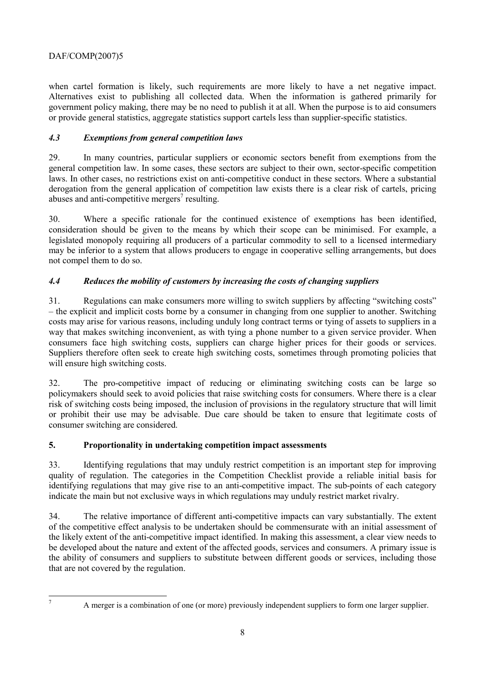### DAF/COMP(2007)5

when cartel formation is likely, such requirements are more likely to have a net negative impact. Alternatives exist to publishing all collected data. When the information is gathered primarily for government policy making, there may be no need to publish it at all. When the purpose is to aid consumers or provide general statistics, aggregate statistics support cartels less than supplier-specific statistics.

### *4.3 Exemptions from general competition laws*

29. In many countries, particular suppliers or economic sectors benefit from exemptions from the general competition law. In some cases, these sectors are subject to their own, sector-specific competition laws. In other cases, no restrictions exist on anti-competitive conduct in these sectors. Where a substantial derogation from the general application of competition law exists there is a clear risk of cartels, pricing abuses and anti-competitive mergers<sup>7</sup> resulting.

30. Where a specific rationale for the continued existence of exemptions has been identified, consideration should be given to the means by which their scope can be minimised. For example, a legislated monopoly requiring all producers of a particular commodity to sell to a licensed intermediary may be inferior to a system that allows producers to engage in cooperative selling arrangements, but does not compel them to do so.

## *4.4 Reduces the mobility of customers by increasing the costs of changing suppliers*

31. Regulations can make consumers more willing to switch suppliers by affecting "switching costs" – the explicit and implicit costs borne by a consumer in changing from one supplier to another. Switching costs may arise for various reasons, including unduly long contract terms or tying of assets to suppliers in a way that makes switching inconvenient, as with tying a phone number to a given service provider. When consumers face high switching costs, suppliers can charge higher prices for their goods or services. Suppliers therefore often seek to create high switching costs, sometimes through promoting policies that will ensure high switching costs.

32. The pro-competitive impact of reducing or eliminating switching costs can be large so policymakers should seek to avoid policies that raise switching costs for consumers. Where there is a clear risk of switching costs being imposed, the inclusion of provisions in the regulatory structure that will limit or prohibit their use may be advisable. Due care should be taken to ensure that legitimate costs of consumer switching are considered.

### **5. Proportionality in undertaking competition impact assessments**

33. Identifying regulations that may unduly restrict competition is an important step for improving quality of regulation. The categories in the Competition Checklist provide a reliable initial basis for identifying regulations that may give rise to an anti-competitive impact. The sub-points of each category indicate the main but not exclusive ways in which regulations may unduly restrict market rivalry.

34. The relative importance of different anti-competitive impacts can vary substantially. The extent of the competitive effect analysis to be undertaken should be commensurate with an initial assessment of the likely extent of the anti-competitive impact identified. In making this assessment, a clear view needs to be developed about the nature and extent of the affected goods, services and consumers. A primary issue is the ability of consumers and suppliers to substitute between different goods or services, including those that are not covered by the regulation.

 7

A merger is a combination of one (or more) previously independent suppliers to form one larger supplier.